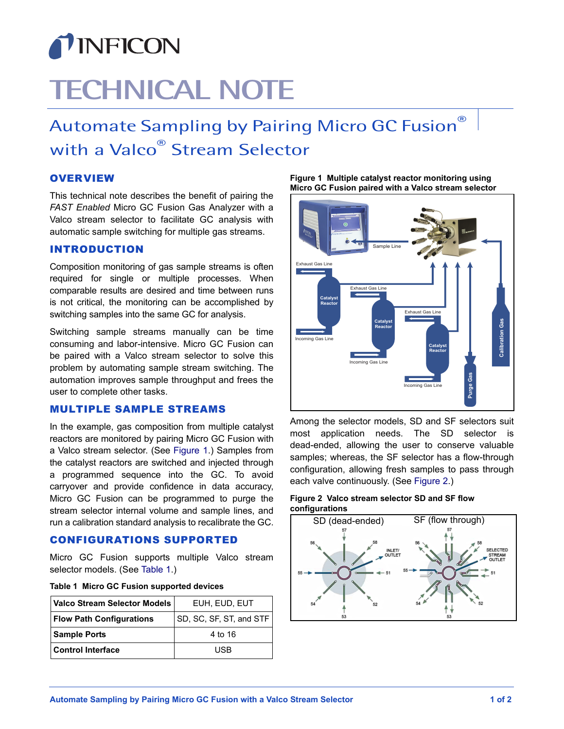

# **TECHNICAL NOTE**

## Automate Sampling by Pairing Micro GC Fusion® with a Valco® Stream Selector

### **OVERVIEW**

This technical note describes the benefit of pairing the *FAST Enabled* Micro GC Fusion Gas Analyzer with a Valco stream selector to facilitate GC analysis with automatic sample switching for multiple gas streams.

#### INTRODUCTION

Composition monitoring of gas sample streams is often required for single or multiple processes. When comparable results are desired and time between runs is not critical, the monitoring can be accomplished by switching samples into the same GC for analysis.

Switching sample streams manually can be time consuming and labor-intensive. Micro GC Fusion can be paired with a Valco stream selector to solve this problem by automating sample stream switching. The automation improves sample throughput and frees the user to complete other tasks.

### MULTIPLE SAMPLE STREAMS

In the example, gas composition from multiple catalyst reactors are monitored by pairing Micro GC Fusion with a Valco stream selector. (See [Figure 1.](#page-0-0)) Samples from the catalyst reactors are switched and injected through a programmed sequence into the GC. To avoid carryover and provide confidence in data accuracy, Micro GC Fusion can be programmed to purge the stream selector internal volume and sample lines, and run a calibration standard analysis to recalibrate the GC.

#### CONFIGURATIONS SUPPORTED

Micro GC Fusion supports multiple Valco stream selector models. (See [Table 1.](#page-0-1))

<span id="page-0-1"></span>

|  |  |  | Table 1 Micro GC Fusion supported devices |  |
|--|--|--|-------------------------------------------|--|
|--|--|--|-------------------------------------------|--|

| Valco Stream Selector Models    | EUH, EUD, EUT           |  |
|---------------------------------|-------------------------|--|
| <b>Flow Path Configurations</b> | SD, SC, SF, ST, and STF |  |
| <b>Sample Ports</b>             | 4 to 16                 |  |
| l Control Interface             | USB                     |  |

<span id="page-0-0"></span>**Figure 1 Multiple catalyst reactor monitoring using Micro GC Fusion paired with a Valco stream selector**



Among the selector models, SD and SF selectors suit most application needs. The SD selector is dead-ended, allowing the user to conserve valuable samples; whereas, the SF selector has a flow-through configuration, allowing fresh samples to pass through each valve continuously. (See [Figure 2](#page-0-2).)

<span id="page-0-2"></span>